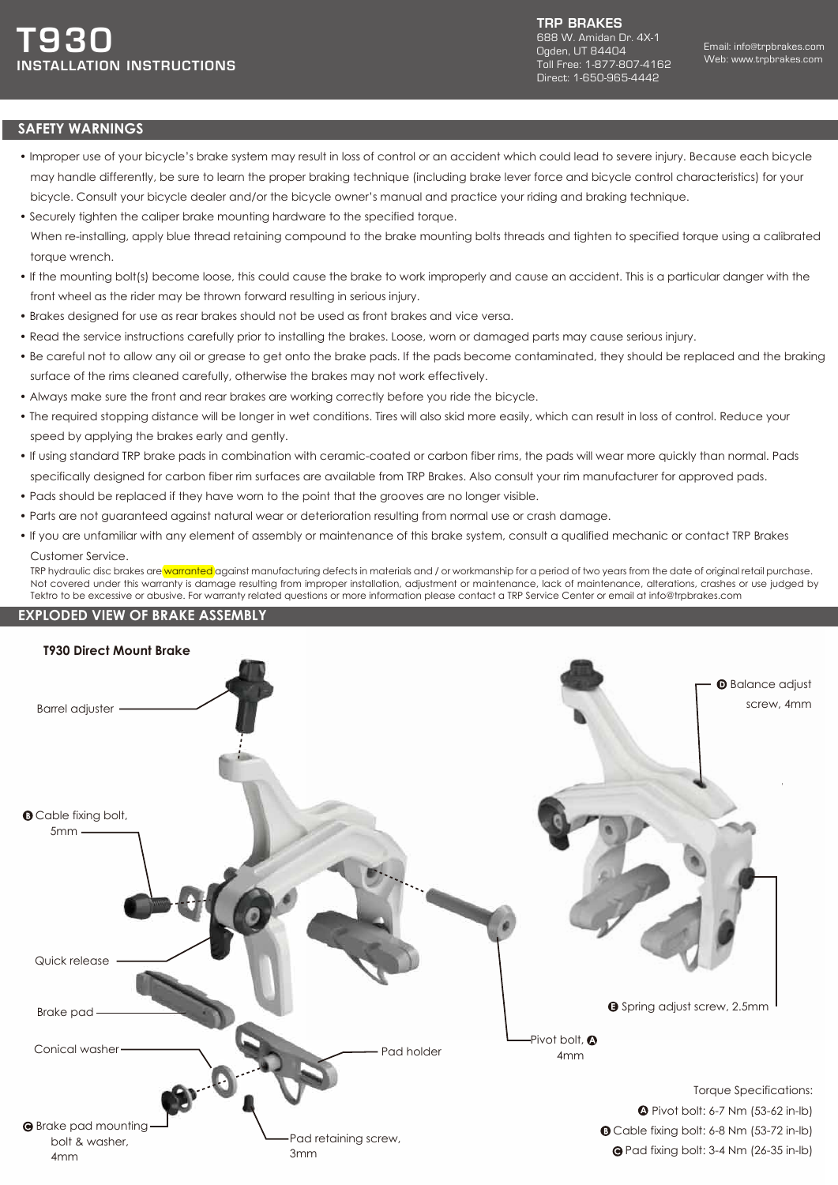TRP BRAKES 688 W. Amidan Dr. 4X-1 Ogden, UT 84404 Toll Free: 1-877-807-4162 Direct: 1-650-965-4442

## **SAFETY WARNINGS**

- Improper use of your bicycle's brake system may result in loss of control or an accident which could lead to severe injury. Because each bicycle may handle differently, be sure to learn the proper braking technique (including brake lever force and bicycle control characteristics) for your bicycle. Consult your bicycle dealer and/or the bicycle owner's manual and practice your riding and braking technique.
- Securely tighten the caliper brake mounting hardware to the specified torque. When re-installing, apply blue thread retaining compound to the brake mounting bolts threads and tighten to specified torque using a calibrated torque wrench.
- If the mounting bolt(s) become loose, this could cause the brake to work improperly and cause an accident. This is a particular danger with the front wheel as the rider may be thrown forward resulting in serious injury.
- Brakes designed for use as rear brakes should not be used as front brakes and vice versa.
- Read the service instructions carefully prior to installing the brakes. Loose, worn or damaged parts may cause serious injury.
- Be careful not to allow any oil or grease to get onto the brake pads. If the pads become contaminated, they should be replaced and the braking surface of the rims cleaned carefully, otherwise the brakes may not work effectively.
- Always make sure the front and rear brakes are working correctly before you ride the bicycle.
- The required stopping distance will be longer in wet conditions. Tires will also skid more easily, which can result in loss of control. Reduce your speed by applying the brakes early and gently.
- If using standard TRP brake pads in combination with ceramic-coated or carbon fiber rims, the pads will wear more quickly than normal. Pads specifically designed for carbon fiber rim surfaces are available from TRP Brakes. Also consult your rim manufacturer for approved pads.
- Pads should be replaced if they have worn to the point that the grooves are no longer visible.
- Parts are not guaranteed against natural wear or deterioration resulting from normal use or crash damage.
- If you are unfamiliar with any element of assembly or maintenance of this brake system, consult a qualified mechanic or contact TRP Brakes Customer Service.

TRP hydraulic disc brakes are warranted against manufacturing defects in materials and / or workmanship for a period of two years from the date of original retail purchase. Not covered under this warranty is damage resulting from improper installation, adjustment or maintenance, lack of maintenance, alterations, crashes or use judged by Tektro to be excessive or abusive. For warranty related questions or more information please contact a TRP Service Center or email at info@trpbrakes.com

## **EXPLODED VIEW OF BRAKE ASSEMBLY**